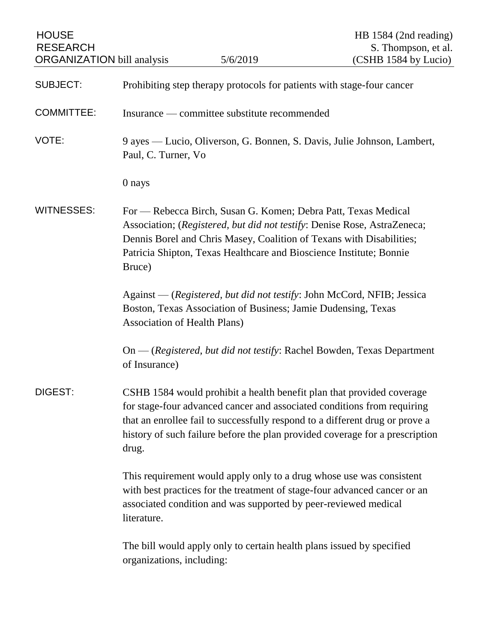| <b>HOUSE</b><br><b>RESEARCH</b><br><b>ORGANIZATION</b> bill analysis |                                                                                                                                                                                                                                                                                                                           | 5/6/2019 | HB 1584 (2nd reading)<br>S. Thompson, et al.<br>(CSHB 1584 by Lucio) |
|----------------------------------------------------------------------|---------------------------------------------------------------------------------------------------------------------------------------------------------------------------------------------------------------------------------------------------------------------------------------------------------------------------|----------|----------------------------------------------------------------------|
| <b>SUBJECT:</b>                                                      | Prohibiting step therapy protocols for patients with stage-four cancer                                                                                                                                                                                                                                                    |          |                                                                      |
| <b>COMMITTEE:</b>                                                    | Insurance — committee substitute recommended                                                                                                                                                                                                                                                                              |          |                                                                      |
| VOTE:                                                                | 9 ayes — Lucio, Oliverson, G. Bonnen, S. Davis, Julie Johnson, Lambert,<br>Paul, C. Turner, Vo                                                                                                                                                                                                                            |          |                                                                      |
|                                                                      | 0 nays                                                                                                                                                                                                                                                                                                                    |          |                                                                      |
| <b>WITNESSES:</b>                                                    | For — Rebecca Birch, Susan G. Komen; Debra Patt, Texas Medical<br>Association; (Registered, but did not testify: Denise Rose, AstraZeneca;<br>Dennis Borel and Chris Masey, Coalition of Texans with Disabilities;<br>Patricia Shipton, Texas Healthcare and Bioscience Institute; Bonnie<br>Bruce)                       |          |                                                                      |
|                                                                      | Against — (Registered, but did not testify: John McCord, NFIB; Jessica<br>Boston, Texas Association of Business; Jamie Dudensing, Texas<br><b>Association of Health Plans)</b>                                                                                                                                            |          |                                                                      |
|                                                                      | On — (Registered, but did not testify: Rachel Bowden, Texas Department<br>of Insurance)                                                                                                                                                                                                                                   |          |                                                                      |
| DIGEST:                                                              | CSHB 1584 would prohibit a health benefit plan that provided coverage<br>for stage-four advanced cancer and associated conditions from requiring<br>that an enrollee fail to successfully respond to a different drug or prove a<br>history of such failure before the plan provided coverage for a prescription<br>drug. |          |                                                                      |
|                                                                      | This requirement would apply only to a drug whose use was consistent<br>with best practices for the treatment of stage-four advanced cancer or an<br>associated condition and was supported by peer-reviewed medical<br>literature.                                                                                       |          |                                                                      |
|                                                                      | The bill would apply only to certain health plans issued by specified<br>organizations, including:                                                                                                                                                                                                                        |          |                                                                      |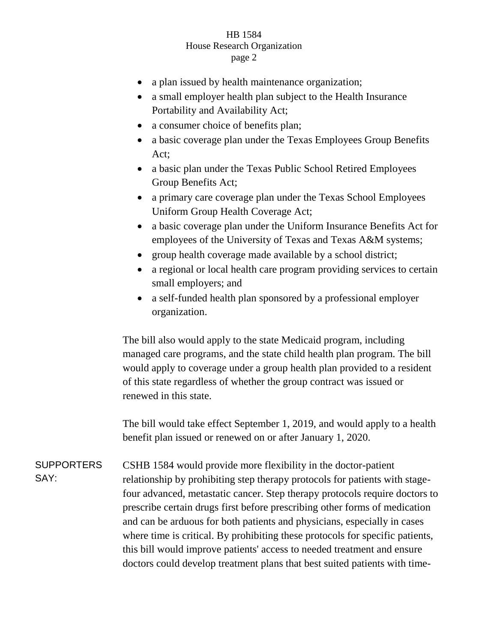## HB 1584 House Research Organization page 2

- a plan issued by health maintenance organization;
- a small employer health plan subject to the Health Insurance Portability and Availability Act;
- a consumer choice of benefits plan;
- a basic coverage plan under the Texas Employees Group Benefits Act;
- a basic plan under the Texas Public School Retired Employees Group Benefits Act;
- a primary care coverage plan under the Texas School Employees Uniform Group Health Coverage Act;
- a basic coverage plan under the Uniform Insurance Benefits Act for employees of the University of Texas and Texas A&M systems;
- group health coverage made available by a school district;
- a regional or local health care program providing services to certain small employers; and
- a self-funded health plan sponsored by a professional employer organization.

The bill also would apply to the state Medicaid program, including managed care programs, and the state child health plan program. The bill would apply to coverage under a group health plan provided to a resident of this state regardless of whether the group contract was issued or renewed in this state.

The bill would take effect September 1, 2019, and would apply to a health benefit plan issued or renewed on or after January 1, 2020.

**SUPPORTERS** SAY: CSHB 1584 would provide more flexibility in the doctor-patient relationship by prohibiting step therapy protocols for patients with stagefour advanced, metastatic cancer. Step therapy protocols require doctors to prescribe certain drugs first before prescribing other forms of medication and can be arduous for both patients and physicians, especially in cases where time is critical. By prohibiting these protocols for specific patients, this bill would improve patients' access to needed treatment and ensure doctors could develop treatment plans that best suited patients with time-